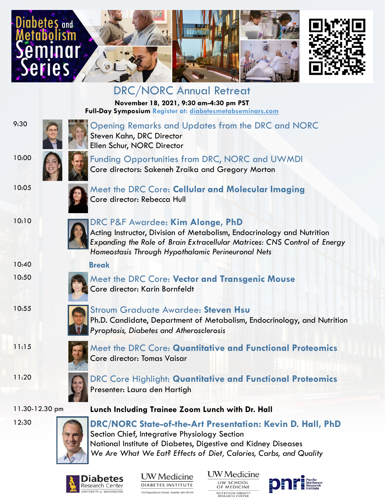





DRC/NORC Annual Retreat **November 18, 2021, 9:30 am-4:30 pm PST Full-Day Symposium Register at: diabetesmetabseminars.com**



9:30 **Commander Strategier And School Strategier Contract Opening Remarks and Updates from the DRC and NORC** Steven Kahn, DRC Director Ellen Schur, NORC Director



10:00 **Funding Opportunities from DRC, NORC and UWMDI** Core directors: Sakeneh Zraika and Gregory Morton



10:05 Meet the DRC Core: Cellular and Molecular Imaging Core director: Rebecca Hull



## 10:10 DRC P&F Awardee: **Kim Alonge, PhD**

Core director: Karin Bornfeldt

Acting Instructor, Division of Metabolism, Endocrinology and Nutrition *Expanding the Role of Brain Extracellular Matrices: CNS Control of Energy Homeostasis Through Hypothalamic Perineuronal Nets*

10:40 **Break** 10:50 Meet the DRC Core: **Vector and Transgenic Mouse**

10:55 Stroum Graduate Awardee: **Steven Hsu** Ph.D. Candidate, Department of Metabolism, Endocrinology, and Nutrition *Pyroptosis, Diabetes and Atherosclerosis* 





11:20 DRC Core Highlight: **Quantitative and Functional Proteomics** Presenter: Laura den Hartigh

11.30-12.30 pm **Lunch Including Trainee Zoom Lunch with Dr. Hall**



12:30 **DRC/NORC State-of-the-Art Presentation: Kevin D. Hall, PhD** Section Chief, Integrative Physiology Section National Institute of Diabetes, Digestive and Kidney Diseases *We Are What We Eat? Effects of Diet, Calories, Carbs, and Quality* 



**UW** Medicine DIABETES INSTITUTE 750 Republican Street, Seattle, WA 98109

UW Medicine **UW SCHOOL**<br>OF MEDICINE **IUTRITION OBESITY**